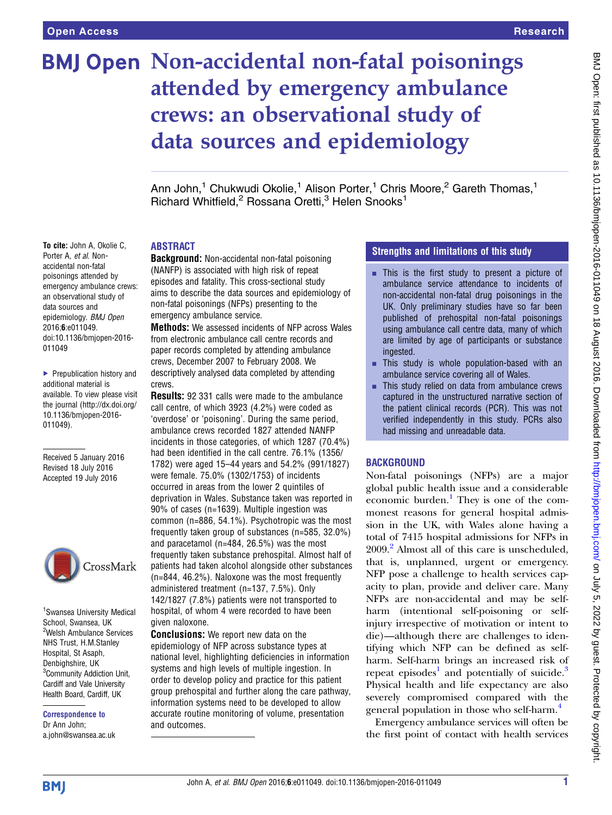# BMJ Open Non-accidental non-fatal poisonings attended by emergency ambulance crews: an observational study of data sources and epidemiology

Ann John,<sup>1</sup> Chukwudi Okolie,<sup>1</sup> Alison Porter,<sup>1</sup> Chris Moore,<sup>2</sup> Gareth Thomas,<sup>1</sup> Richard Whitfield,<sup>2</sup> Rossana Oretti,<sup>3</sup> Helen Snooks<sup>1</sup>

#### ABSTRACT

Background: Non-accidental non-fatal poisoning (NANFP) is associated with high risk of repeat episodes and fatality. This cross-sectional study aims to describe the data sources and epidemiology of non-fatal poisonings (NFPs) presenting to the emergency ambulance service.

Methods: We assessed incidents of NFP across Wales from electronic ambulance call centre records and paper records completed by attending ambulance crews, December 2007 to February 2008. We descriptively analysed data completed by attending crews.

Results: 92 331 calls were made to the ambulance call centre, of which 3923 (4.2%) were coded as 'overdose' or 'poisoning'. During the same period, ambulance crews recorded 1827 attended NANFP incidents in those categories, of which 1287 (70.4%) had been identified in the call centre. 76.1% (1356/ 1782) were aged 15–44 years and 54.2% (991/1827) were female. 75.0% (1302/1753) of incidents occurred in areas from the lower 2 quintiles of deprivation in Wales. Substance taken was reported in 90% of cases (n=1639). Multiple ingestion was common (n=886, 54.1%). Psychotropic was the most frequently taken group of substances (n=585, 32.0%) and paracetamol (n=484, 26.5%) was the most frequently taken substance prehospital. Almost half of patients had taken alcohol alongside other substances (n=844, 46.2%). Naloxone was the most frequently administered treatment (n=137, 7.5%). Only 142/1827 (7.8%) patients were not transported to hospital, of whom 4 were recorded to have been given naloxone.

Conclusions: We report new data on the epidemiology of NFP across substance types at national level, highlighting deficiencies in information systems and high levels of multiple ingestion. In order to develop policy and practice for this patient group prehospital and further along the care pathway, information systems need to be developed to allow accurate routine monitoring of volume, presentation and outcomes.

#### Strengths and limitations of this study

- $\blacksquare$  This is the first study to present a picture of ambulance service attendance to incidents of non-accidental non-fatal drug poisonings in the UK. Only preliminary studies have so far been published of prehospital non-fatal poisonings using ambulance call centre data, many of which are limited by age of participants or substance ingested.
- $\blacksquare$  This study is whole population-based with an ambulance service covering all of Wales.
- $\blacksquare$  This study relied on data from ambulance crews captured in the unstructured narrative section of the patient clinical records (PCR). This was not verified independently in this study. PCRs also had missing and unreadable data.

#### **BACKGROUND**

Non-fatal poisonings (NFPs) are a major global public health issue and a considerable economic burden.<sup>[1](#page-7-0)</sup> They is one of the commonest reasons for general hospital admission in the UK, with Wales alone having a total of 7415 hospital admissions for NFPs in [2](#page-7-0)009.<sup>2</sup> Almost all of this care is unscheduled, that is, unplanned, urgent or emergency. NFP pose a challenge to health services capacity to plan, provide and deliver care. Many NFPs are non-accidental and may be selfharm (intentional self-poisoning or selfinjury irrespective of motivation or intent to die)—although there are challenges to identifying which NFP can be defined as selfharm. Self-harm brings an increased risk of repeat episodes<sup>[1](#page-7-0)</sup> and potentially of suicide.<sup>3</sup> Physical health and life expectancy are also severely compromised compared with the general population in those who self-harm.[4](#page-7-0)

Emergency ambulance services will often be the first point of contact with health services

To cite: John A, Okolie C, Porter A, et al. Nonaccidental non-fatal poisonings attended by emergency ambulance crews: an observational study of data sources and epidemiology. BMJ Open 2016;6:e011049. doi:10.1136/bmjopen-2016- 011049

▶ Prepublication history and additional material is available. To view please visit the journal [\(http://dx.doi.org/](http://dx.doi.org/10.1136/bmjopen-2016-011049) [10.1136/bmjopen-2016-](http://dx.doi.org/10.1136/bmjopen-2016-011049) [011049\)](http://dx.doi.org/10.1136/bmjopen-2016-011049).

Received 5 January 2016 Revised 18 July 2016 Accepted 19 July 2016



<sup>1</sup> Swansea University Medical School, Swansea, UK 2 Welsh Ambulance Services NHS Trust, H.M.Stanley Hospital, St Asaph, Denbighshire, UK <sup>3</sup> Community Addiction Unit, Cardiff and Vale University Health Board, Cardiff, UK

Correspondence to Dr Ann John; a.john@swansea.ac.uk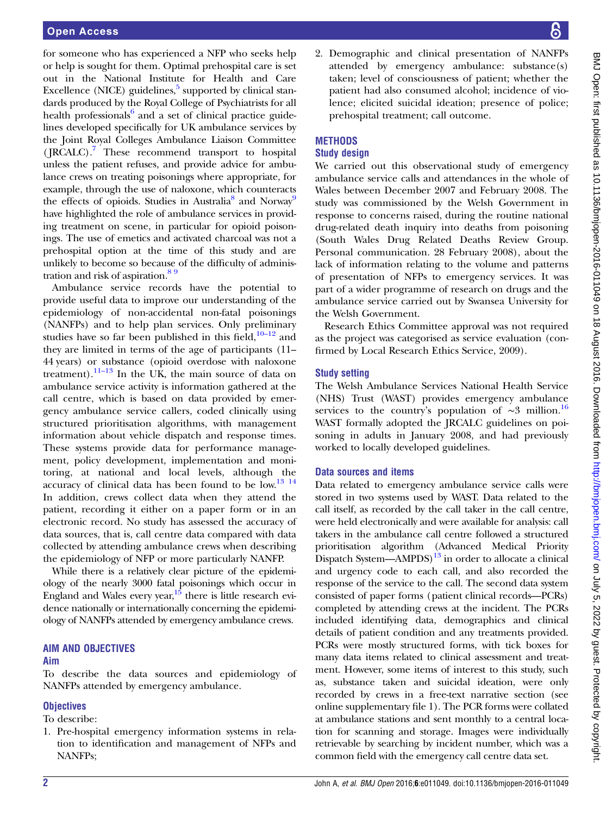for someone who has experienced a NFP who seeks help or help is sought for them. Optimal prehospital care is set out in the National Institute for Health and Care Excellence (NICE) guidelines, $5 \text{ supported by clinical stan-}$ dards produced by the Royal College of Psychiatrists for all health professionals $6$  and a set of clinical practice guidelines developed specifically for UK ambulance services by the Joint Royal Colleges Ambulance Liaison Committee (JRCALC).<sup>[7](#page-7-0)</sup> These recommend transport to hospital unless the patient refuses, and provide advice for ambulance crews on treating poisonings where appropriate, for example, through the use of naloxone, which counteracts the effects of opioids. Studies in Australia<sup>[8](#page-7-0)</sup> and Norway<sup>[9](#page-7-0)</sup> have highlighted the role of ambulance services in providing treatment on scene, in particular for opioid poisonings. The use of emetics and activated charcoal was not a prehospital option at the time of this study and are unlikely to become so because of the difficulty of administration and risk of aspiration.<sup>89</sup>

Ambulance service records have the potential to provide useful data to improve our understanding of the epidemiology of non-accidental non-fatal poisonings (NANFPs) and to help plan services. Only preliminary studies have so far been published in this field, $10-12$  $10-12$  and they are limited in terms of the age of participants (11– 44 years) or substance (opioid overdose with naloxone treatment).<sup>11–[13](#page-7-0)</sup> In the UK, the main source of data on ambulance service activity is information gathered at the call centre, which is based on data provided by emergency ambulance service callers, coded clinically using structured prioritisation algorithms, with management information about vehicle dispatch and response times. These systems provide data for performance management, policy development, implementation and monitoring, at national and local levels, although the accuracy of clinical data has been found to be  $\text{low.}^{13}$  14 In addition, crews collect data when they attend the patient, recording it either on a paper form or in an electronic record. No study has assessed the accuracy of data sources, that is, call centre data compared with data collected by attending ambulance crews when describing the epidemiology of NFP or more particularly NANFP.

While there is a relatively clear picture of the epidemiology of the nearly 3000 fatal poisonings which occur in England and Wales every year,  $15$  there is little research evidence nationally or internationally concerning the epidemiology of NANFPs attended by emergency ambulance crews.

# AIM AND OBJECTIVES

#### Aim

To describe the data sources and epidemiology of NANFPs attended by emergency ambulance.

# **Objectives**

To describe:

1. Pre-hospital emergency information systems in relation to identification and management of NFPs and NANFPs;

2. Demographic and clinical presentation of NANFPs attended by emergency ambulance: substance(s) taken; level of consciousness of patient; whether the patient had also consumed alcohol; incidence of violence; elicited suicidal ideation; presence of police; prehospital treatment; call outcome.

# **METHODS**

## Study design

We carried out this observational study of emergency ambulance service calls and attendances in the whole of Wales between December 2007 and February 2008. The study was commissioned by the Welsh Government in response to concerns raised, during the routine national drug-related death inquiry into deaths from poisoning (South Wales Drug Related Deaths Review Group. Personal communication. 28 February 2008), about the lack of information relating to the volume and patterns of presentation of NFPs to emergency services. It was part of a wider programme of research on drugs and the ambulance service carried out by Swansea University for the Welsh Government.

Research Ethics Committee approval was not required as the project was categorised as service evaluation (confirmed by Local Research Ethics Service, 2009).

# Study setting

The Welsh Ambulance Services National Health Service (NHS) Trust (WAST) provides emergency ambulance services to the country's population of  $~\sim 3$  million.<sup>[16](#page-7-0)</sup> WAST formally adopted the JRCALC guidelines on poisoning in adults in January 2008, and had previously worked to locally developed guidelines.

# Data sources and items

Data related to emergency ambulance service calls were stored in two systems used by WAST. Data related to the call itself, as recorded by the call taker in the call centre, were held electronically and were available for analysis: call takers in the ambulance call centre followed a structured prioritisation algorithm (Advanced Medical Priority Dispatch System—AMPDS)<sup>13</sup> in order to allocate a clinical and urgency code to each call, and also recorded the response of the service to the call. The second data system consisted of paper forms (patient clinical records—PCRs) completed by attending crews at the incident. The PCRs included identifying data, demographics and clinical details of patient condition and any treatments provided. PCRs were mostly structured forms, with tick boxes for many data items related to clinical assessment and treatment. However, some items of interest to this study, such as, substance taken and suicidal ideation, were only recorded by crews in a free-text narrative section (see online supplementary file 1). The PCR forms were collated at ambulance stations and sent monthly to a central location for scanning and storage. Images were individually retrievable by searching by incident number, which was a common field with the emergency call centre data set.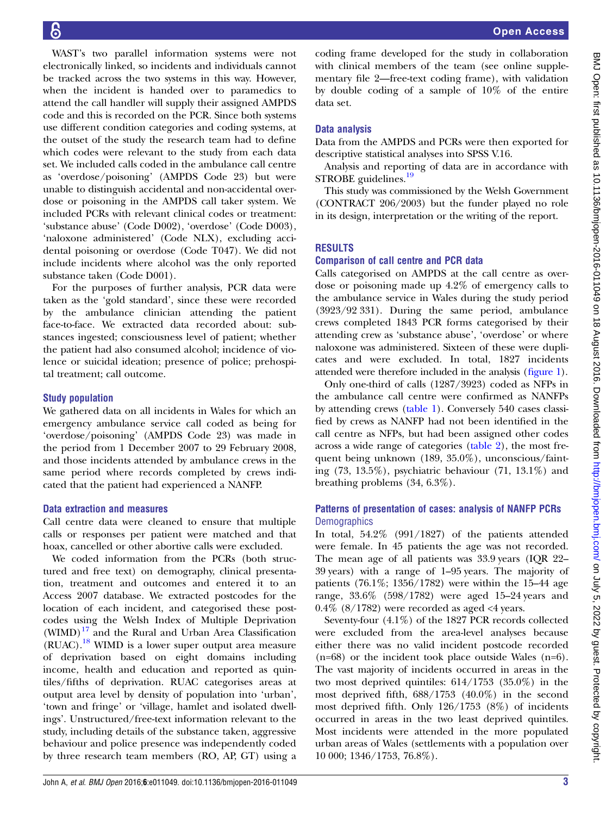Open Access

WAST's two parallel information systems were not electronically linked, so incidents and individuals cannot be tracked across the two systems in this way. However, when the incident is handed over to paramedics to attend the call handler will supply their assigned AMPDS code and this is recorded on the PCR. Since both systems use different condition categories and coding systems, at the outset of the study the research team had to define which codes were relevant to the study from each data set. We included calls coded in the ambulance call centre as 'overdose/poisoning' (AMPDS Code 23) but were unable to distinguish accidental and non-accidental overdose or poisoning in the AMPDS call taker system. We included PCRs with relevant clinical codes or treatment: 'substance abuse' (Code D002), 'overdose' (Code D003), 'naloxone administered' (Code NLX), excluding accidental poisoning or overdose (Code T047). We did not include incidents where alcohol was the only reported substance taken (Code D001).

For the purposes of further analysis, PCR data were taken as the 'gold standard', since these were recorded by the ambulance clinician attending the patient face-to-face. We extracted data recorded about: substances ingested; consciousness level of patient; whether the patient had also consumed alcohol; incidence of violence or suicidal ideation; presence of police; prehospital treatment; call outcome.

#### Study population

We gathered data on all incidents in Wales for which an emergency ambulance service call coded as being for 'overdose/poisoning' (AMPDS Code 23) was made in the period from 1 December 2007 to 29 February 2008, and those incidents attended by ambulance crews in the same period where records completed by crews indicated that the patient had experienced a NANFP.

#### Data extraction and measures

Call centre data were cleaned to ensure that multiple calls or responses per patient were matched and that hoax, cancelled or other abortive calls were excluded.

We coded information from the PCRs (both structured and free text) on demography, clinical presentation, treatment and outcomes and entered it to an Access 2007 database. We extracted postcodes for the location of each incident, and categorised these postcodes using the Welsh Index of Multiple Deprivation  $(WIMD)^{17}$  $(WIMD)^{17}$  $(WIMD)^{17}$  and the Rural and Urban Area Classification (RUAC).[18](#page-7-0) WIMD is a lower super output area measure of deprivation based on eight domains including income, health and education and reported as quintiles/fifths of deprivation. RUAC categorises areas at output area level by density of population into 'urban', 'town and fringe' or 'village, hamlet and isolated dwellings'. Unstructured/free-text information relevant to the study, including details of the substance taken, aggressive behaviour and police presence was independently coded by three research team members (RO, AP, GT) using a

coding frame developed for the study in collaboration with clinical members of the team (see online supplementary file 2—free-text coding frame), with validation by double coding of a sample of 10% of the entire data set.

#### Data analysis

Data from the AMPDS and PCRs were then exported for descriptive statistical analyses into SPSS V.16.

Analysis and reporting of data are in accordance with STROBE guidelines.<sup>[19](#page-7-0)</sup>

This study was commissioned by the Welsh Government (CONTRACT 206/2003) but the funder played no role in its design, interpretation or the writing of the report.

#### **RESULTS**

#### Comparison of call centre and PCR data

Calls categorised on AMPDS at the call centre as overdose or poisoning made up 4.2% of emergency calls to the ambulance service in Wales during the study period (3923/92 331). During the same period, ambulance crews completed 1843 PCR forms categorised by their attending crew as 'substance abuse', 'overdose' or where naloxone was administered. Sixteen of these were duplicates and were excluded. In total, 1827 incidents attended were therefore included in the analysis (fi[gure 1](#page-3-0)).

Only one-third of calls (1287/3923) coded as NFPs in the ambulance call centre were confirmed as NANFPs by attending crews [\(table 1](#page-3-0)). Conversely 540 cases classified by crews as NANFP had not been identified in the call centre as NFPs, but had been assigned other codes across a wide range of categories ([table 2\)](#page-4-0), the most frequent being unknown (189, 35.0%), unconscious/fainting (73, 13.5%), psychiatric behaviour (71, 13.1%) and breathing problems (34, 6.3%).

#### Patterns of presentation of cases: analysis of NANFP PCRs **Demographics**

In total, 54.2% (991/1827) of the patients attended were female. In 45 patients the age was not recorded. The mean age of all patients was 33.9 years (IQR 22– 39 years) with a range of 1–95 years. The majority of patients (76.1%; 1356/1782) were within the 15–44 age range, 33.6% (598/1782) were aged 15–24 years and  $0.4\%$  (8/1782) were recorded as aged <4 years.

Seventy-four (4.1%) of the 1827 PCR records collected were excluded from the area-level analyses because either there was no valid incident postcode recorded (n=68) or the incident took place outside Wales (n=6). The vast majority of incidents occurred in areas in the two most deprived quintiles: 614/1753 (35.0%) in the most deprived fifth, 688/1753 (40.0%) in the second most deprived fifth. Only 126/1753 (8%) of incidents occurred in areas in the two least deprived quintiles. Most incidents were attended in the more populated urban areas of Wales (settlements with a population over 10 000; 1346/1753, 76.8%).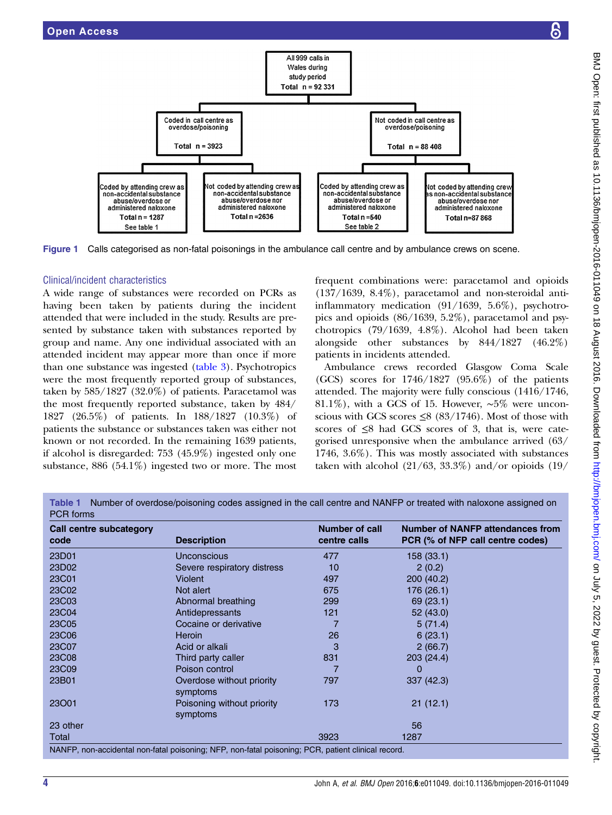<span id="page-3-0"></span>

A wide range of substances were recorded on PCRs as having been taken by patients during the incident attended that were included in the study. Results are presented by substance taken with substances reported by group and name. Any one individual associated with an attended incident may appear more than once if more than one substance was ingested [\(table 3](#page-5-0)). Psychotropics were the most frequently reported group of substances, taken by 585/1827 (32.0%) of patients. Paracetamol was the most frequently reported substance, taken by 484/ 1827 (26.5%) of patients. In 188/1827 (10.3%) of patients the substance or substances taken was either not known or not recorded. In the remaining 1639 patients, if alcohol is disregarded: 753 (45.9%) ingested only one substance, 886 (54.1%) ingested two or more. The most frequent combinations were: paracetamol and opioids (137/1639, 8.4%), paracetamol and non-steroidal antiinflammatory medication (91/1639, 5.6%), psychotropics and opioids (86/1639, 5.2%), paracetamol and psychotropics (79/1639, 4.8%). Alcohol had been taken alongside other substances by 844/1827 (46.2%) patients in incidents attended.

Ambulance crews recorded Glasgow Coma Scale (GCS) scores for 1746/1827 (95.6%) of the patients attended. The majority were fully conscious (1416/1746, 81.1%), with a GCS of 15. However, ∼5% were unconscious with GCS scores  $\leq$ 8 (83/1746). Most of those with scores of  $\leq$ 8 had GCS scores of 3, that is, were categorised unresponsive when the ambulance arrived (63/ 1746, 3.6%). This was mostly associated with substances taken with alcohol  $(21/63, 33.3\%)$  and/or opioids  $(19/$ 

Table 1 Number of overdose/poisoning codes assigned in the call centre and NANFP or treated with naloxone assigned on PCR forms

| <b>Call centre subcategory</b><br>code | <b>Description</b>                                                                                 | Number of call<br>centre calls | <b>Number of NANFP attendances from</b><br>PCR (% of NFP call centre codes) |
|----------------------------------------|----------------------------------------------------------------------------------------------------|--------------------------------|-----------------------------------------------------------------------------|
| 23D01                                  | Unconscious                                                                                        | 477                            | 158 (33.1)                                                                  |
| 23D02                                  | Severe respiratory distress                                                                        | 10                             | 2(0.2)                                                                      |
| 23C01                                  | Violent                                                                                            | 497                            | 200 (40.2)                                                                  |
| 23C02                                  | Not alert                                                                                          | 675                            | 176 (26.1)                                                                  |
| 23C03                                  | Abnormal breathing                                                                                 | 299                            | 69(23.1)                                                                    |
| 23C04                                  | Antidepressants                                                                                    | 121                            | 52 (43.0)                                                                   |
| 23C05                                  | Cocaine or derivative                                                                              |                                | 5(71.4)                                                                     |
| 23C06                                  | <b>Heroin</b>                                                                                      | 26                             | 6(23.1)                                                                     |
| 23C07                                  | Acid or alkali                                                                                     | 3                              | 2(66.7)                                                                     |
| 23C08                                  | Third party caller                                                                                 | 831                            | 203 (24.4)                                                                  |
| 23C09                                  | Poison control                                                                                     |                                | 0                                                                           |
| 23B01                                  | Overdose without priority<br>symptoms                                                              | 797                            | 337(42.3)                                                                   |
| 23001                                  | Poisoning without priority<br>symptoms                                                             | 173                            | 21(12.1)                                                                    |
| 23 other                               |                                                                                                    |                                | 56                                                                          |
| Total                                  |                                                                                                    | 3923                           | 1287                                                                        |
|                                        | NANFP, non-accidental non-fatal poisoning; NFP, non-fatal poisoning; PCR, patient clinical record. |                                |                                                                             |

BMJ Open: first published as 10.1136/bmjopen-2016-011049 on 18 August 2016. Downloaded from http://bmjopen.bmj.com/ on July 5, 2022 by guest. Protected by copyright BMJ Open: first published as 10.1136/bmjopen-2016-011049 on 18 August 2016. Downloaded from <http://bmjopen.bmj.com/> on July 5, 2022 by guest. Protected by copyright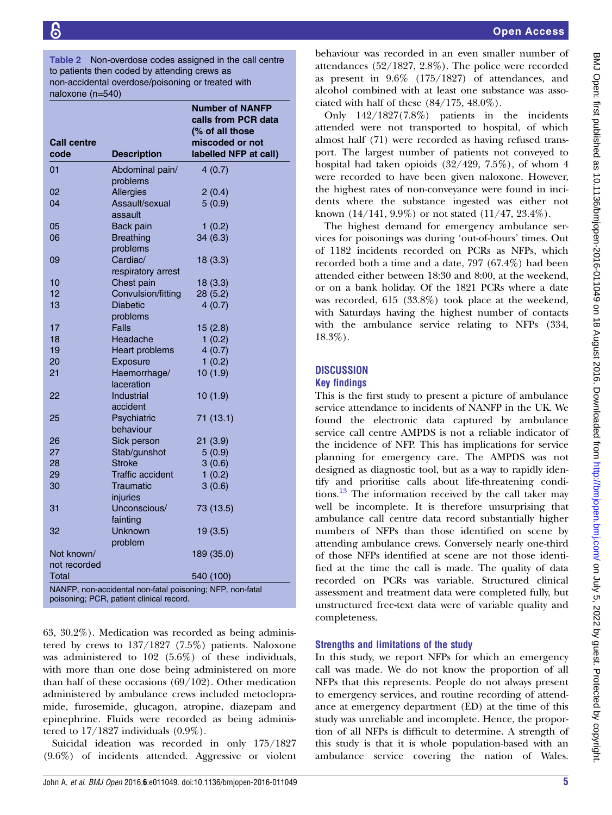<span id="page-4-0"></span>Table 2 Non-overdose codes assigned in the call centre to patients then coded by attending crews as non-accidental overdose/poisoning or treated with naloxone (n=540)

|                                                           |                         | <b>Number of NANFP</b><br>calls from PCR data |  |  |  |  |
|-----------------------------------------------------------|-------------------------|-----------------------------------------------|--|--|--|--|
|                                                           |                         | (% of all those                               |  |  |  |  |
| <b>Call centre</b><br>code                                | <b>Description</b>      | miscoded or not<br>labelled NFP at call)      |  |  |  |  |
|                                                           |                         |                                               |  |  |  |  |
| 01                                                        | Abdominal pain/         | 4(0.7)                                        |  |  |  |  |
|                                                           | problems                |                                               |  |  |  |  |
| 02                                                        | Allergies               | 2(0.4)                                        |  |  |  |  |
| 04                                                        | Assault/sexual          | 5(0.9)                                        |  |  |  |  |
|                                                           | assault                 |                                               |  |  |  |  |
| 05                                                        | Back pain               | 1(0.2)                                        |  |  |  |  |
| 06                                                        | <b>Breathing</b>        | 34(6.3)                                       |  |  |  |  |
|                                                           | problems                |                                               |  |  |  |  |
| 09                                                        | Cardiac/                | 18(3.3)                                       |  |  |  |  |
|                                                           | respiratory arrest      |                                               |  |  |  |  |
| 10                                                        | Chest pain              | 18(3.3)                                       |  |  |  |  |
| 12                                                        | Convulsion/fitting      | 28 (5.2)                                      |  |  |  |  |
| 13                                                        | <b>Diabetic</b>         | 4(0.7)                                        |  |  |  |  |
| 17                                                        | problems<br>Falls       |                                               |  |  |  |  |
| 18                                                        | Headache                | 15(2.8)<br>1(0.2)                             |  |  |  |  |
| 19                                                        | Heart problems          | 4(0.7)                                        |  |  |  |  |
| 20                                                        | Exposure                | 1(0.2)                                        |  |  |  |  |
| 21                                                        | Haemorrhage/            | 10(1.9)                                       |  |  |  |  |
|                                                           | laceration              |                                               |  |  |  |  |
| 22                                                        | Industrial              | 10(1.9)                                       |  |  |  |  |
|                                                           | accident                |                                               |  |  |  |  |
| 25                                                        | Psychiatric             | 71 (13.1)                                     |  |  |  |  |
|                                                           | behaviour               |                                               |  |  |  |  |
| 26                                                        | Sick person             | 21(3.9)                                       |  |  |  |  |
| 27                                                        | Stab/gunshot            | 5(0.9)                                        |  |  |  |  |
| 28                                                        | <b>Stroke</b>           | 3(0.6)                                        |  |  |  |  |
| 29                                                        | <b>Traffic accident</b> | 1(0.2)                                        |  |  |  |  |
| 30                                                        | Traumatic               | 3(0.6)                                        |  |  |  |  |
|                                                           | injuries                |                                               |  |  |  |  |
| 31                                                        | Unconscious/            | 73 (13.5)                                     |  |  |  |  |
|                                                           | fainting                |                                               |  |  |  |  |
| 32                                                        | Unknown                 | 19(3.5)                                       |  |  |  |  |
|                                                           | problem                 |                                               |  |  |  |  |
| Not known/                                                |                         | 189 (35.0)                                    |  |  |  |  |
| not recorded                                              |                         |                                               |  |  |  |  |
| Total                                                     |                         | 540 (100)                                     |  |  |  |  |
| NANFP, non-accidental non-fatal poisoning; NFP, non-fatal |                         |                                               |  |  |  |  |
| poisoning; PCR, patient clinical record.                  |                         |                                               |  |  |  |  |

63, 30.2%). Medication was recorded as being administered by crews to 137/1827 (7.5%) patients. Naloxone was administered to 102 (5.6%) of these individuals, with more than one dose being administered on more than half of these occasions (69/102). Other medication administered by ambulance crews included metoclopramide, furosemide, glucagon, atropine, diazepam and epinephrine. Fluids were recorded as being administered to  $17/1827$  individuals  $(0.9\%)$ .

Suicidal ideation was recorded in only 175/1827 (9.6%) of incidents attended. Aggressive or violent

behaviour was recorded in an even smaller number of attendances (52/1827, 2.8%). The police were recorded as present in 9.6% (175/1827) of attendances, and alcohol combined with at least one substance was associated with half of these (84/175, 48.0%).

Only 142/1827(7.8%) patients in the incidents attended were not transported to hospital, of which almost half (71) were recorded as having refused transport. The largest number of patients not conveyed to hospital had taken opioids (32/429, 7.5%), of whom 4 were recorded to have been given naloxone. However, the highest rates of non-conveyance were found in incidents where the substance ingested was either not known (14/141, 9.9%) or not stated (11/47, 23.4%).

The highest demand for emergency ambulance services for poisonings was during 'out-of-hours' times. Out of 1182 incidents recorded on PCRs as NFPs, which recorded both a time and a date, 797 (67.4%) had been attended either between 18:30 and 8:00, at the weekend, or on a bank holiday. Of the 1821 PCRs where a date was recorded, 615 (33.8%) took place at the weekend, with Saturdays having the highest number of contacts with the ambulance service relating to NFPs (334, 18.3%).

# **DISCUSSION**

## Key findings

This is the first study to present a picture of ambulance service attendance to incidents of NANFP in the UK. We found the electronic data captured by ambulance service call centre AMPDS is not a reliable indicator of the incidence of NFP. This has implications for service planning for emergency care. The AMPDS was not designed as diagnostic tool, but as a way to rapidly identify and prioritise calls about life-threatening condi-tions.<sup>[13](#page-7-0)</sup> The information received by the call taker may well be incomplete. It is therefore unsurprising that ambulance call centre data record substantially higher numbers of NFPs than those identified on scene by attending ambulance crews. Conversely nearly one-third of those NFPs identified at scene are not those identified at the time the call is made. The quality of data recorded on PCRs was variable. Structured clinical assessment and treatment data were completed fully, but unstructured free-text data were of variable quality and completeness.

# Strengths and limitations of the study

In this study, we report NFPs for which an emergency call was made. We do not know the proportion of all NFPs that this represents. People do not always present to emergency services, and routine recording of attendance at emergency department (ED) at the time of this study was unreliable and incomplete. Hence, the proportion of all NFPs is difficult to determine. A strength of this study is that it is whole population-based with an ambulance service covering the nation of Wales.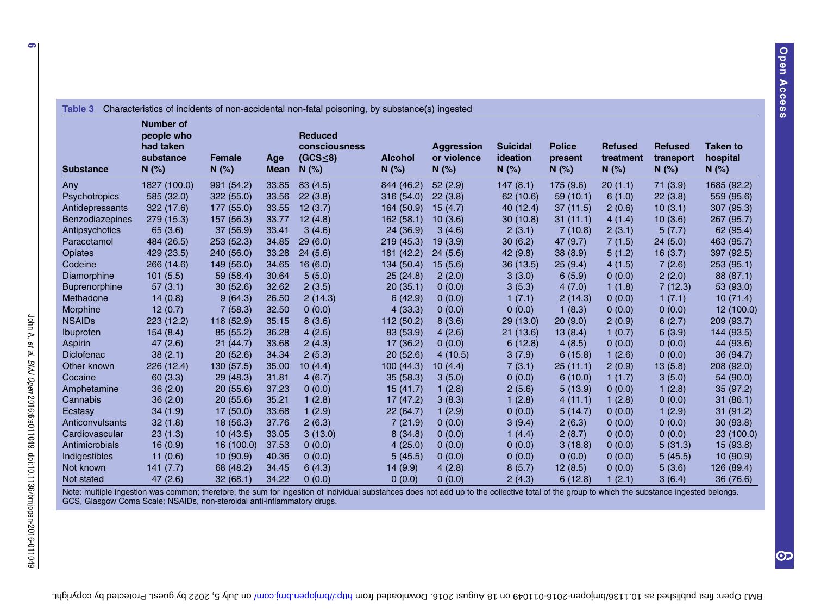<span id="page-5-0"></span>

|                        | <b>Number of</b><br>people who<br>had taken |                        |                    | <b>Reduced</b><br>consciousness |                           | <b>Aggression</b>    | <b>Suicidal</b>   | <b>Police</b>    | <b>Refused</b>    | <b>Refused</b>       | <b>Taken to</b>  |
|------------------------|---------------------------------------------|------------------------|--------------------|---------------------------------|---------------------------|----------------------|-------------------|------------------|-------------------|----------------------|------------------|
| <b>Substance</b>       | substance<br>N(%)                           | <b>Female</b><br>N(% ) | Age<br><b>Mean</b> | (GCS <sub>5</sub> )<br>$N$ (%)  | <b>Alcohol</b><br>$N$ (%) | or violence<br>N (%) | ideation<br>N(% ) | present<br>N(% ) | treatment<br>N(%) | transport<br>$N$ (%) | hospital<br>N(%) |
| Any                    | 1827 (100.0)                                | 991 (54.2)             | 33.85              | 83(4.5)                         | 844 (46.2)                | 52(2.9)              | 147(8.1)          | 175(9.6)         | 20(1.1)           | 71(3.9)              | 1685 (92.2)      |
| Psychotropics          | 585 (32.0)                                  | 322 (55.0)             | 33.56              | 22(3.8)                         | 316 (54.0)                | 22(3.8)              | 62 (10.6)         | 59(10.1)         | 6(1.0)            | 22(3.8)              | 559 (95.6)       |
| Antidepressants        | 322 (17.6)                                  | 177 (55.0)             | 33.55              | 12(3.7)                         | 164 (50.9)                | 15(4.7)              | 40 (12.4)         | 37(11.5)         | 2(0.6)            | 10(3.1)              | 307(95.3)        |
| <b>Benzodiazepines</b> | 279 (15.3)                                  | 157 (56.3)             | 33.77              | 12(4.8)                         | 162(58.1)                 | 10(3.6)              | 30(10.8)          | 31(11.1)         | 4(1.4)            | 10(3.6)              | 267 (95.7)       |
| Antipsychotics         | 65(3.6)                                     | 37(56.9)               | 33.41              | 3(4.6)                          | 24(36.9)                  | 3(4.6)               | 2(3.1)            | 7(10.8)          | 2(3.1)            | 5(7.7)               | 62 (95.4)        |
| Paracetamol            | 484 (26.5)                                  | 253(52.3)              | 34.85              | 29(6.0)                         | 219(45.3)                 | 19(3.9)              | 30(6.2)           | 47 (9.7)         | 7(1.5)            | 24(5.0)              | 463 (95.7)       |
| <b>Opiates</b>         | 429 (23.5)                                  | 240 (56.0)             | 33.28              | 24(5.6)                         | 181 (42.2)                | 24(5.6)              | 42(9.8)           | 38(8.9)          | 5(1.2)            | 16(3.7)              | 397 (92.5)       |
| Codeine                | 266 (14.6)                                  | 149 (56.0)             | 34.65              | 16(6.0)                         | 134 (50.4)                | 15(5.6)              | 36(13.5)          | 25(9.4)          | 4(1.5)            | 7(2.6)               | 253(95.1)        |
| Diamorphine            | 101(5.5)                                    | 59 (58.4)              | 30.64              | 5(5.0)                          | 25(24.8)                  | 2(2.0)               | 3(3.0)            | 6(5.9)           | 0(0.0)            | 2(2.0)               | 88 (87.1)        |
| <b>Buprenorphine</b>   | 57(3.1)                                     | 30(52.6)               | 32.62              | 2(3.5)                          | 20(35.1)                  | 0(0.0)               | 3(5.3)            | 4(7.0)           | 1(1.8)            | 7(12.3)              | 53 (93.0)        |
| Methadone              | 14(0.8)                                     | 9(64.3)                | 26.50              | 2(14.3)                         | 6(42.9)                   | 0(0.0)               | 1(7.1)            | 2(14.3)          | 0(0.0)            | 1(7.1)               | 10(71.4)         |
| Morphine               | 12(0.7)                                     | 7(58.3)                | 32.50              | 0(0.0)                          | 4(33.3)                   | 0(0.0)               | 0(0.0)            | 1(8.3)           | 0(0.0)            | 0(0.0)               | 12 (100.0)       |
| <b>NSAIDs</b>          | 223 (12.2)                                  | 118 (52.9)             | 35.15              | 8(3.6)                          | 112 (50.2)                | 8(3.6)               | 29 (13.0)         | 20(9.0)          | 2(0.9)            | 6(2.7)               | 209 (93.7)       |
| <b>Ibuprofen</b>       | 154(8.4)                                    | 85 (55.2)              | 36.28              | 4(2.6)                          | 83 (53.9)                 | 4(2.6)               | 21(13.6)          | 13(8.4)          | 1(0.7)            | 6(3.9)               | 144 (93.5)       |
| Aspirin                | 47(2.6)                                     | 21(44.7)               | 33.68              | 2(4.3)                          | 17 (36.2)                 | 0(0.0)               | 6(12.8)           | 4(8.5)           | 0(0.0)            | 0(0.0)               | 44 (93.6)        |
| <b>Diclofenac</b>      | 38(2.1)                                     | 20(52.6)               | 34.34              | 2(5.3)                          | 20(52.6)                  | 4(10.5)              | 3(7.9)            | 6(15.8)          | 1(2.6)            | 0(0.0)               | 36 (94.7)        |
| Other known            | 226 (12.4)                                  | 130 (57.5)             | 35.00              | 10(4.4)                         | 100(44.3)                 | 10(4.4)              | 7(3.1)            | 25(11.1)         | 2(0.9)            | 13(5.8)              | 208 (92.0)       |
| Cocaine                | 60(3.3)                                     | 29(48.3)               | 31.81              | 4(6.7)                          | 35(58.3)                  | 3(5.0)               | 0(0.0)            | 6(10.0)          | 1(1.7)            | 3(5.0)               | 54 (90.0)        |
| Amphetamine            | 36(2.0)                                     | 20(55.6)               | 37.23              | 0(0.0)                          | 15(41.7)                  | 1(2.8)               | 2(5.6)            | 5(13.9)          | 0(0.0)            | 1(2.8)               | 35(97.2)         |
| Cannabis               | 36(2.0)                                     | 20(55.6)               | 35.21              | 1(2.8)                          | 17(47.2)                  | 3(8.3)               | 1(2.8)            | 4(11.1)          | 1(2.8)            | 0(0.0)               | 31(86.1)         |
| Ecstasy                | 34(1.9)                                     | 17(50.0)               | 33.68              | 1(2.9)                          | 22(64.7)                  | 1(2.9)               | 0(0.0)            | 5(14.7)          | 0(0.0)            | 1(2.9)               | 31(91.2)         |
| Anticonvulsants        | 32(1.8)                                     | 18(56.3)               | 37.76              | 2(6.3)                          | 7(21.9)                   | 0(0.0)               | 3(9.4)            | 2(6.3)           | 0(0.0)            | 0(0.0)               | 30(93.8)         |
| Cardiovascular         | 23(1.3)                                     | 10(43.5)               | 33.05              | 3(13.0)                         | 8(34.8)                   | 0(0.0)               | 1(4.4)            | 2(8.7)           | 0(0.0)            | 0(0.0)               | 23 (100.0)       |
| Antimicrobials         | 16(0.9)                                     | 16 (100.0)             | 37.53              | 0(0.0)                          | 4(25.0)                   | 0(0.0)               | 0(0.0)            | 3(18.8)          | 0(0.0)            | 5(31.3)              | 15(93.8)         |
| Indigestibles          | 11(0.6)                                     | 10(90.9)               | 40.36              | 0(0.0)                          | 5(45.5)                   | 0(0.0)               | 0(0.0)            | 0(0.0)           | 0(0.0)            | 5(45.5)              | 10(90.9)         |
| Not known              | 141(7.7)                                    | 68 (48.2)              | 34.45              | 6(4.3)                          | 14(9.9)                   | 4(2.8)               | 8(5.7)            | 12(8.5)          | 0(0.0)            | 5(3.6)               | 126(89.4)        |
| Not stated             | 47(2.6)                                     | 32(68.1)               | 34.22              | 0(0.0)                          | 0(0.0)                    | 0(0.0)               | 2(4.3)            | 6(12.8)          | 1(2.1)            | 3(6.4)               | 36 (76.6)        |

Note: multiple ingestion was common; therefore, the sum for ingestion of individual substances does not add up to the collective total of the group to which the substance ingested belongs. GCS, Glasgow Coma Scale; NSAIDs, non-steroidal anti-inflammatory drugs.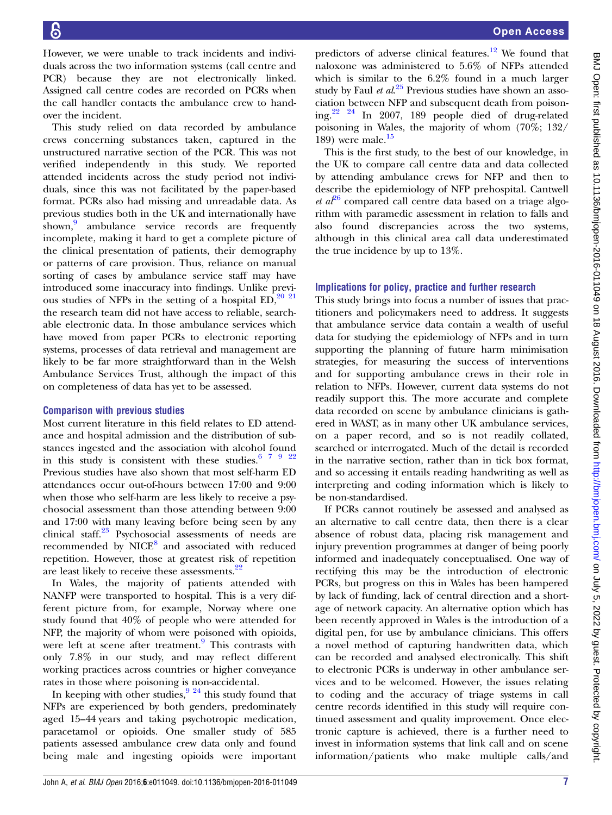However, we were unable to track incidents and individuals across the two information systems (call centre and PCR) because they are not electronically linked. Assigned call centre codes are recorded on PCRs when the call handler contacts the ambulance crew to handover the incident.

This study relied on data recorded by ambulance crews concerning substances taken, captured in the unstructured narrative section of the PCR. This was not verified independently in this study. We reported attended incidents across the study period not individuals, since this was not facilitated by the paper-based format. PCRs also had missing and unreadable data. As previous studies both in the UK and internationally have shown,<sup>[9](#page-7-0)</sup> ambulance service records are frequently incomplete, making it hard to get a complete picture of the clinical presentation of patients, their demography or patterns of care provision. Thus, reliance on manual sorting of cases by ambulance service staff may have introduced some inaccuracy into findings. Unlike previous studies of NFPs in the setting of a hospital  $ED<sub>1</sub><sup>20</sup>$ <sup>21</sup> the research team did not have access to reliable, searchable electronic data. In those ambulance services which have moved from paper PCRs to electronic reporting systems, processes of data retrieval and management are likely to be far more straightforward than in the Welsh Ambulance Services Trust, although the impact of this on completeness of data has yet to be assessed.

## Comparison with previous studies

Most current literature in this field relates to ED attendance and hospital admission and the distribution of substances ingested and the association with alcohol found in this study is consistent with these studies.  $67922$ Previous studies have also shown that most self-harm ED attendances occur out-of-hours between 17:00 and 9:00 when those who self-harm are less likely to receive a psychosocial assessment than those attending between 9:00 and 17:00 with many leaving before being seen by any clinical staff.<sup>[23](#page-7-0)</sup> Psychosocial assessments of needs are recommended by NICE<sup>[8](#page-7-0)</sup> and associated with reduced repetition. However, those at greatest risk of repetition are least likely to receive these assessments.<sup>[22](#page-7-0)</sup>

In Wales, the majority of patients attended with NANFP were transported to hospital. This is a very different picture from, for example, Norway where one study found that 40% of people who were attended for NFP, the majority of whom were poisoned with opioids, were left at scene after treatment.<sup>[9](#page-7-0)</sup> This contrasts with only 7.8% in our study, and may reflect different working practices across countries or higher conveyance rates in those where poisoning is non-accidental.

In keeping with other studies, $9^{924}$  this study found that NFPs are experienced by both genders, predominately aged 15–44 years and taking psychotropic medication, paracetamol or opioids. One smaller study of 585 patients assessed ambulance crew data only and found being male and ingesting opioids were important

predictors of adverse clinical features.<sup>[12](#page-7-0)</sup> We found that naloxone was administered to 5.6% of NFPs attended which is similar to the 6.2% found in a much larger study by Faul et  $al^{25}$  $al^{25}$  $al^{25}$  Previous studies have shown an association between NFP and subsequent death from poisoning.[22 24](#page-7-0) In 2007, 189 people died of drug-related poisoning in Wales, the majority of whom (70%; 132/ 189) were male. $15$ 

This is the first study, to the best of our knowledge, in the UK to compare call centre data and data collected by attending ambulance crews for NFP and then to describe the epidemiology of NFP prehospital. Cantwell *et a* $l^{26}$  $l^{26}$  $l^{26}$  compared call centre data based on a triage algorithm with paramedic assessment in relation to falls and also found discrepancies across the two systems, although in this clinical area call data underestimated the true incidence by up to 13%.

#### Implications for policy, practice and further research

This study brings into focus a number of issues that practitioners and policymakers need to address. It suggests that ambulance service data contain a wealth of useful data for studying the epidemiology of NFPs and in turn supporting the planning of future harm minimisation strategies, for measuring the success of interventions and for supporting ambulance crews in their role in relation to NFPs. However, current data systems do not readily support this. The more accurate and complete data recorded on scene by ambulance clinicians is gathered in WAST, as in many other UK ambulance services, on a paper record, and so is not readily collated, searched or interrogated. Much of the detail is recorded in the narrative section, rather than in tick box format, and so accessing it entails reading handwriting as well as interpreting and coding information which is likely to be non-standardised.

If PCRs cannot routinely be assessed and analysed as an alternative to call centre data, then there is a clear absence of robust data, placing risk management and injury prevention programmes at danger of being poorly informed and inadequately conceptualised. One way of rectifying this may be the introduction of electronic PCRs, but progress on this in Wales has been hampered by lack of funding, lack of central direction and a shortage of network capacity. An alternative option which has been recently approved in Wales is the introduction of a digital pen, for use by ambulance clinicians. This offers a novel method of capturing handwritten data, which can be recorded and analysed electronically. This shift to electronic PCRs is underway in other ambulance services and to be welcomed. However, the issues relating to coding and the accuracy of triage systems in call centre records identified in this study will require continued assessment and quality improvement. Once electronic capture is achieved, there is a further need to invest in information systems that link call and on scene information/patients who make multiple calls/and